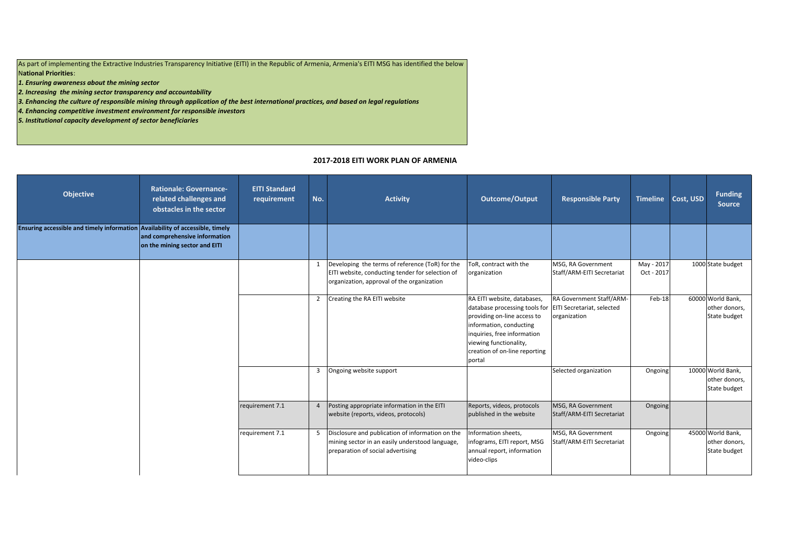As part of implementing the Extractive Industries Transparency Initiative (EITI) in the Republic of Armenia, Armenia's EITI MSG has identified the below N**ational Priorities**:

*1. Ensuring awareness about the mining sector*

*2. Increasing the mining sector transparency and accountability*

*3. Enhancing the culture of responsible mining through application of the best international practices, and based on legal regulations*

*4. Enhancing competitive investment environment for responsible investors*

*5. Institutional capacity development of sector beneficiaries*

## **2017-2018 EITI WORK PLAN OF ARMENIA**

| Objective                                                                     | <b>Rationale: Governance-</b><br>related challenges and<br>obstacles in the sector | <b>EITI Standard</b><br>requirement | No.            | <b>Activity</b>                                                                                                                                   | Outcome/Output                                                                                                                                                                                                             | <b>Responsible Party</b>                                               |                          | Timeline Cost, USD | <b>Funding</b><br><b>Source</b>                    |
|-------------------------------------------------------------------------------|------------------------------------------------------------------------------------|-------------------------------------|----------------|---------------------------------------------------------------------------------------------------------------------------------------------------|----------------------------------------------------------------------------------------------------------------------------------------------------------------------------------------------------------------------------|------------------------------------------------------------------------|--------------------------|--------------------|----------------------------------------------------|
| Ensuring accessible and timely information Availability of accessible, timely | and comprehensive information<br>on the mining sector and EITI                     |                                     |                |                                                                                                                                                   |                                                                                                                                                                                                                            |                                                                        |                          |                    |                                                    |
|                                                                               |                                                                                    |                                     |                | Developing the terms of reference (ToR) for the<br>EITI website, conducting tender for selection of<br>organization, approval of the organization | ToR, contract with the<br>organization                                                                                                                                                                                     | MSG, RA Government<br>Staff/ARM-EITI Secretariat                       | May - 2017<br>Oct - 2017 |                    | 1000 State budget                                  |
|                                                                               |                                                                                    |                                     |                | 2 Creating the RA EITI website                                                                                                                    | RA EITI website, databases,<br>database processing tools for<br>providing on-line access to<br>information, conducting<br>inquiries, free information<br>viewing functionality,<br>creation of on-line reporting<br>portal | RA Government Staff/ARM-<br>EITI Secretariat, selected<br>organization | Feb-18                   |                    | 60000 World Bank,<br>other donors,<br>State budget |
|                                                                               |                                                                                    |                                     |                | 3 Ongoing website support                                                                                                                         |                                                                                                                                                                                                                            | Selected organization                                                  | Ongoing                  |                    | 10000 World Bank,<br>other donors,<br>State budget |
|                                                                               |                                                                                    | requirement 7.1                     | $\overline{4}$ | Posting appropriate information in the EITI<br>website (reports, videos, protocols)                                                               | Reports, videos, protocols<br>published in the website                                                                                                                                                                     | MSG, RA Government<br>Staff/ARM-EITI Secretariat                       | Ongoing                  |                    |                                                    |
|                                                                               |                                                                                    | requirement 7.1                     |                | 5 Disclosure and publication of information on the<br>mining sector in an easily understood language,<br>preparation of social advertising        | Information sheets,<br>infograms, EITI report, MSG<br>annual report, information<br>video-clips                                                                                                                            | MSG, RA Government<br>Staff/ARM-EITI Secretariat                       | Ongoing                  |                    | 45000 World Bank,<br>other donors,<br>State budget |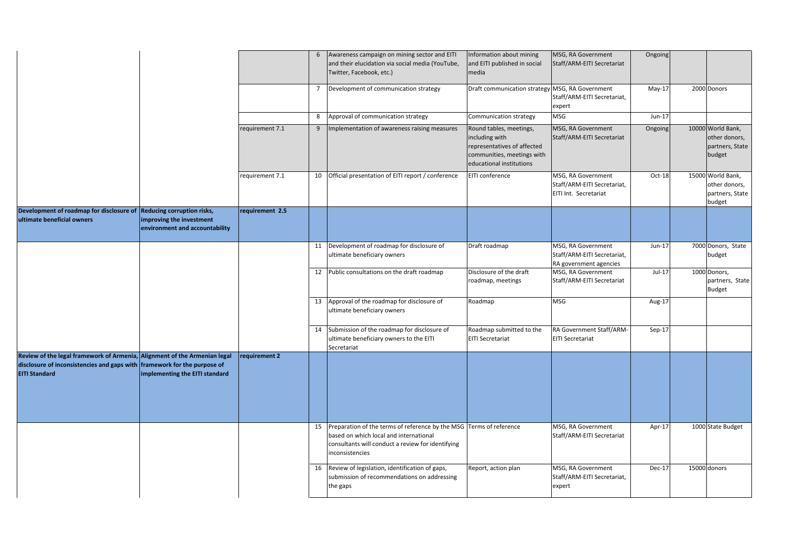|                                                                                                                                                                               |                                                            |                 | 6  | Awareness campaign on mining sector and EITI<br>and their elucidation via social media (YouTube,<br>Twitter, Facebook, etc.)                                                             | nformation about mining<br>and EITI published in social<br>media                                                                   | MSG, RA Government<br>Staff/ARM-EITI Secretariat                            | Ongoing  |                                                                 |
|-------------------------------------------------------------------------------------------------------------------------------------------------------------------------------|------------------------------------------------------------|-----------------|----|------------------------------------------------------------------------------------------------------------------------------------------------------------------------------------------|------------------------------------------------------------------------------------------------------------------------------------|-----------------------------------------------------------------------------|----------|-----------------------------------------------------------------|
|                                                                                                                                                                               |                                                            |                 | 7  | Development of communication strategy                                                                                                                                                    | Draft communication strategy MSG, RA Government                                                                                    | Staff/ARM-EITI Secretariat,<br>expert                                       | $May-17$ | 2000 Donors                                                     |
|                                                                                                                                                                               |                                                            |                 | 8  | Approval of communication strategy                                                                                                                                                       | Communication strategy                                                                                                             | <b>MSG</b>                                                                  | Jun-17   |                                                                 |
|                                                                                                                                                                               |                                                            | requirement 7.1 | 9  | Implementation of awareness raising measures                                                                                                                                             | Round tables, meetings,<br>including with<br>representatives of affected<br>communities, meetings with<br>educational institutions | MSG, RA Government<br>Staff/ARM-EITI Secretariat                            | Ongoing  | 10000 World Bank,<br>other donors,<br>partners, State<br>budget |
|                                                                                                                                                                               |                                                            | requirement 7.1 |    | 10 Official presentation of EITI report / conference                                                                                                                                     | EITI conference                                                                                                                    | MSG, RA Government<br>Staff/ARM-EITI Secretariat,<br>EITI Int. Secretariat  | Oct-18   | 15000 World Bank,<br>other donors,<br>partners, State<br>budget |
| Development of roadmap for disclosure of Reducing corruption risks,<br>ultimate beneficial owners                                                                             | improving the investment<br>environment and accountability | requirement 2.5 |    |                                                                                                                                                                                          |                                                                                                                                    |                                                                             |          |                                                                 |
|                                                                                                                                                                               |                                                            |                 |    | 11 Development of roadmap for disclosure of<br>ultimate beneficiary owners                                                                                                               | Draft roadmap                                                                                                                      | MSG, RA Government<br>Staff/ARM-EITI Secretariat,<br>RA government agencies | Jun-17   | 7000 Donors, State<br>budget                                    |
|                                                                                                                                                                               |                                                            |                 |    | 12 Public consultations on the draft roadmap                                                                                                                                             | Disclosure of the draft<br>roadmap, meetings                                                                                       | MSG, RA Government<br>Staff/ARM-EITI Secretariat                            | $Jul-17$ | 1000 Donors,<br>partners, State<br><b>Budget</b>                |
|                                                                                                                                                                               |                                                            |                 | 13 | Approval of the roadmap for disclosure of<br>ultimate beneficiary owners                                                                                                                 | Roadmap                                                                                                                            | <b>MSG</b>                                                                  | Aug-17   |                                                                 |
|                                                                                                                                                                               |                                                            |                 | 14 | Submission of the roadmap for disclosure of<br>ultimate beneficiary owners to the EITI<br>Secretariat                                                                                    | Roadmap submitted to the<br><b>EITI Secretariat</b>                                                                                | RA Government Staff/ARM-<br><b>EITI Secretariat</b>                         | $Sep-17$ |                                                                 |
| Review of the legal framework of Armenia, Alignment of the Armenian legal<br>disclosure of inconsistencies and gaps with framework for the purpose of<br><b>EITI Standard</b> | implementing the EITI standard                             | requirement 2   |    |                                                                                                                                                                                          |                                                                                                                                    |                                                                             |          |                                                                 |
|                                                                                                                                                                               |                                                            |                 |    | 15 Preparation of the terms of reference by the MSG Terms of reference<br>based on which local and international<br>consultants will conduct a review for identifying<br>inconsistencies |                                                                                                                                    | MSG, RA Government<br>Staff/ARM-EITI Secretariat                            | Apr-17   | 1000 State Budget                                               |
|                                                                                                                                                                               |                                                            |                 |    | 16 Review of legislation, identification of gaps,<br>submission of recommendations on addressing<br>the gaps                                                                             | Report, action plan                                                                                                                | MSG, RA Government<br>Staff/ARM-EITI Secretariat,<br>expert                 | Dec-17   | 15000 donors                                                    |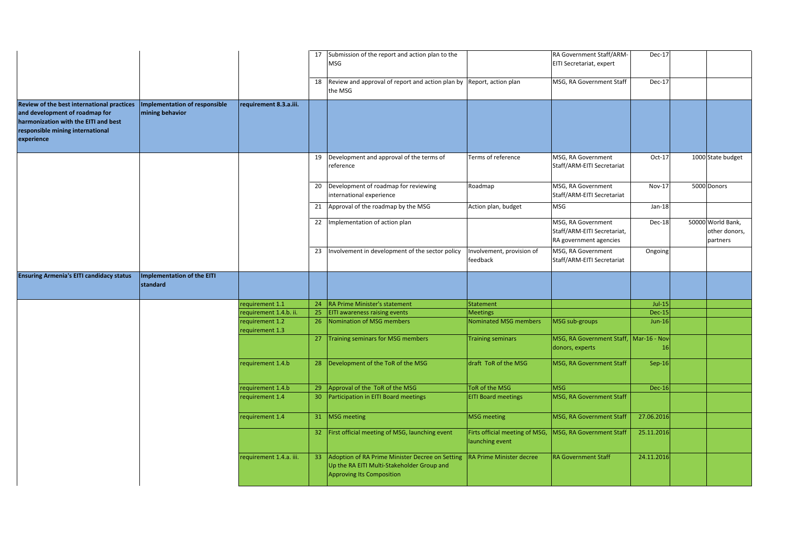|                                                                                                                                                                        |                                                      |                                  |                 | 17 Submission of the report and action plan to the<br>MSG                                                                         |                                                   | RA Government Staff/ARM-<br>EITI Secretariat, expert                        | Dec-17        |                                                |
|------------------------------------------------------------------------------------------------------------------------------------------------------------------------|------------------------------------------------------|----------------------------------|-----------------|-----------------------------------------------------------------------------------------------------------------------------------|---------------------------------------------------|-----------------------------------------------------------------------------|---------------|------------------------------------------------|
|                                                                                                                                                                        |                                                      |                                  | 18              | Review and approval of report and action plan by Report, action plan<br>the MSG                                                   |                                                   | MSG, RA Government Staff                                                    | <b>Dec-17</b> |                                                |
| Review of the best international practices<br>and development of roadmap for<br>harmonization with the EITI and best<br>responsible mining international<br>experience | Implementation of responsible<br>mining behavior     | requirement 8.3.a.iii.           |                 |                                                                                                                                   |                                                   |                                                                             |               |                                                |
|                                                                                                                                                                        |                                                      |                                  | 19              | Development and approval of the terms of<br>reference                                                                             | Terms of reference                                | MSG, RA Government<br>Staff/ARM-EITI Secretariat                            | $Oct-17$      | 1000 State budget                              |
|                                                                                                                                                                        |                                                      |                                  | 20              | Development of roadmap for reviewing<br>international experience                                                                  | Roadmap                                           | MSG, RA Government<br>Staff/ARM-EITI Secretariat                            | Nov-17        | 5000 Donors                                    |
|                                                                                                                                                                        |                                                      |                                  | 21              | Approval of the roadmap by the MSG                                                                                                | Action plan, budget                               | <b>MSG</b>                                                                  | Jan-18        |                                                |
|                                                                                                                                                                        |                                                      |                                  | 22              | Implementation of action plan                                                                                                     |                                                   | MSG, RA Government<br>Staff/ARM-EITI Secretariat,<br>RA government agencies | Dec-18        | 50000 World Bank,<br>other donors,<br>partners |
|                                                                                                                                                                        |                                                      |                                  | 23              | Involvement in development of the sector policy                                                                                   | nvolvement, provision of<br>feedback              | MSG, RA Government<br>Staff/ARM-EITI Secretariat                            | Ongoing       |                                                |
| <b>Ensuring Armenia's EITI candidacy status</b>                                                                                                                        | <b>Implementation of the EITI</b><br><b>standard</b> |                                  |                 |                                                                                                                                   |                                                   |                                                                             |               |                                                |
|                                                                                                                                                                        |                                                      | equirement 1.1                   | 24              | RA Prime Minister's statement                                                                                                     | <b>Statement</b>                                  |                                                                             | $Jul-15$      |                                                |
|                                                                                                                                                                        |                                                      | equirement 1.4.b. ii.            | 25              | <b>EITI awareness raising events</b>                                                                                              | <b>Meetings</b>                                   |                                                                             | <b>Dec-15</b> |                                                |
|                                                                                                                                                                        |                                                      | equirement 1.2<br>equirement 1.3 | 26              | Nomination of MSG members                                                                                                         | Nominated MSG members                             | MSG sub-groups                                                              | <b>Jun-16</b> |                                                |
|                                                                                                                                                                        |                                                      |                                  | 27              | Training seminars for MSG members                                                                                                 | <b>Training seminars</b>                          | MSG, RA Government Staff, Mar-16 - Nov-<br>donors, experts                  | 16            |                                                |
|                                                                                                                                                                        |                                                      | requirement 1.4.b                | 28              | Development of the ToR of the MSG                                                                                                 | draft ToR of the MSG                              | MSG, RA Government Staff                                                    | $Sep-16$      |                                                |
|                                                                                                                                                                        |                                                      | requirement 1.4.b                |                 | 29 Approval of the ToR of the MSG                                                                                                 | ToR of the MSG                                    | <b>MSG</b>                                                                  | <b>Dec-16</b> |                                                |
|                                                                                                                                                                        |                                                      | equirement 1.4                   | 30 <sup>°</sup> | Participation in EITI Board meetings                                                                                              | <b>EITI Board meetings</b>                        | MSG, RA Government Staff                                                    |               |                                                |
|                                                                                                                                                                        |                                                      | requirement 1.4                  |                 | 31 MSG meeting                                                                                                                    | <b>MSG</b> meeting                                | MSG, RA Government Staff                                                    | 27.06.2016    |                                                |
|                                                                                                                                                                        |                                                      |                                  | 32              | First official meeting of MSG, launching event                                                                                    | Firts official meeting of MSG,<br>launching event | MSG, RA Government Staff                                                    | 25.11.2016    |                                                |
|                                                                                                                                                                        |                                                      | requirement 1.4.a. iii.          | 33              | Adoption of RA Prime Minister Decree on Setting<br>Up the RA EITI Multi-Stakeholder Group and<br><b>Approving Its Composition</b> | RA Prime Minister decree                          | <b>RA Government Staff</b>                                                  | 24.11.2016    |                                                |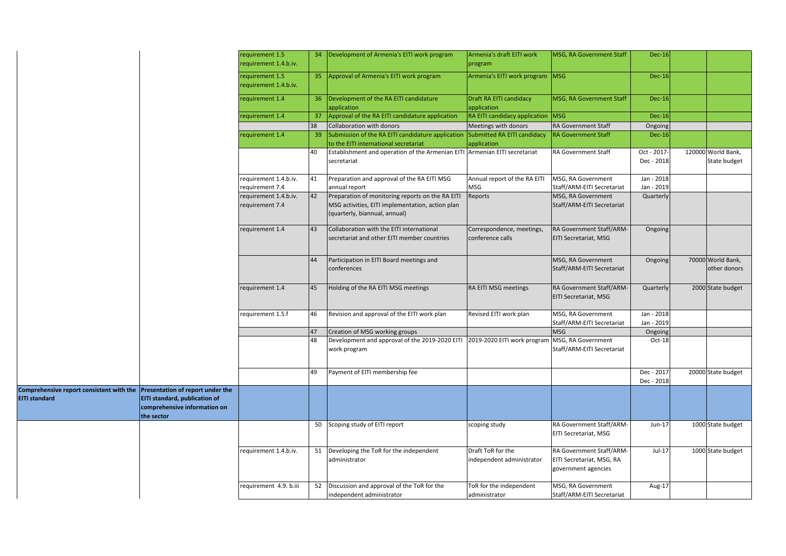|                                                                                                   |                                                                             | requirement 1.5<br>requirement 1.4.b.iv. |    | 34   Development of Armenia's EITI work program                                                                                       | Armenia's draft EITI work<br>program           | <b>MSG, RA Government Staff</b>                                              | <b>Dec-16</b>            |                                    |
|---------------------------------------------------------------------------------------------------|-----------------------------------------------------------------------------|------------------------------------------|----|---------------------------------------------------------------------------------------------------------------------------------------|------------------------------------------------|------------------------------------------------------------------------------|--------------------------|------------------------------------|
|                                                                                                   |                                                                             | requirement 1.5<br>equirement 1.4.b.iv.  |    | 35 Approval of Armenia's EITI work program                                                                                            | Armenia's EITI work program                    | MSG                                                                          | <b>Dec-16</b>            |                                    |
|                                                                                                   |                                                                             | equirement 1.4                           |    | 36 Development of the RA EITI candidature<br>application                                                                              | Draft RA EITI candidacy<br>application         | MSG, RA Government Staff                                                     | <b>Dec-16</b>            |                                    |
|                                                                                                   |                                                                             | equirement 1.4                           | 37 | Approval of the RA EITI candidature application                                                                                       | RA EITI candidacy application                  | <b>MSG</b>                                                                   | <b>Dec-16</b>            |                                    |
|                                                                                                   |                                                                             |                                          | 38 | Collaboration with donors                                                                                                             | Meetings with donors                           | <b>RA Government Staff</b>                                                   | Ongoing                  |                                    |
|                                                                                                   |                                                                             | equirement 1.4                           | 39 | Submission of the RA EITI candidature application<br>to the EITI international secretariat                                            | Submitted RA EITI candidacy<br>application     | <b>RA Government Staff</b>                                                   | Dec-16                   |                                    |
|                                                                                                   |                                                                             |                                          | 40 | Establishment and operation of the Armenian EITI Armenian EITI secretariat<br>secretariat                                             |                                                | RA Government Staff                                                          | Oct - 2017<br>Dec - 2018 | 120000 World Bank,<br>State budget |
|                                                                                                   |                                                                             | requirement 1.4.b.iv.<br>equirement 7.4  | 41 | Preparation and approval of the RA EITI MSG<br>annual report                                                                          | Annual report of the RA EITI<br>MSG            | MSG, RA Government<br>Staff/ARM-EITI Secretariat                             | Jan - 2018<br>Jan - 2019 |                                    |
|                                                                                                   |                                                                             | requirement 1.4.b.iv.<br>equirement 7.4  | 42 | Preparation of monitoring reports on the RA EITI<br>MSG activities, EITI implementation, action plan<br>(quarterly, biannual, annual) | Reports                                        | MSG, RA Government<br>Staff/ARM-EITI Secretariat                             | Quarterly                |                                    |
|                                                                                                   |                                                                             | requirement 1.4                          | 43 | Collaboration with the EITI international<br>secretariat and other EITI member countries                                              | Correspondence, meetings,<br>conference calls  | RA Government Staff/ARM-<br><b>EITI Secretariat, MSG</b>                     | Ongoing                  |                                    |
|                                                                                                   |                                                                             |                                          | 44 | Participation in EITI Board meetings and<br>conferences                                                                               |                                                | MSG, RA Government<br>Staff/ARM-EITI Secretariat                             | Ongoing                  | 70000 World Bank,<br>other donors  |
|                                                                                                   |                                                                             | requirement 1.4                          | 45 | Holding of the RA EITI MSG meetings                                                                                                   | RA EITI MSG meetings                           | RA Government Staff/ARM-<br><b>EITI Secretariat, MSG</b>                     | Quarterly                | 2000 State budget                  |
|                                                                                                   |                                                                             | requirement 1.5.f                        | 46 | Revision and approval of the EITI work plan                                                                                           | Revised EITI work plan                         | MSG, RA Government<br>Staff/ARM-EITI Secretariat                             | Jan - 2018<br>Jan - 2019 |                                    |
|                                                                                                   |                                                                             |                                          | 47 | Creation of MSG working groups                                                                                                        |                                                | <b>MSG</b>                                                                   | Ongoing                  |                                    |
|                                                                                                   |                                                                             |                                          | 48 | Development and approval of the 2019-2020 EITI 2019-2020 EITI work program<br>work program                                            |                                                | MSG, RA Government<br>Staff/ARM-EITI Secretariat                             | Oct-18                   |                                    |
|                                                                                                   |                                                                             |                                          | 49 | Payment of EITI membership fee                                                                                                        |                                                |                                                                              | Dec - 2017<br>Dec - 2018 | 20000 State budget                 |
| Comprehensive report consistent with the Presentation of report under the<br><b>EITI standard</b> | EITI standard, publication of<br>comprehensive information on<br>the sector |                                          |    |                                                                                                                                       |                                                |                                                                              |                          |                                    |
|                                                                                                   |                                                                             |                                          |    | 50 Scoping study of EITI report                                                                                                       | scoping study                                  | RA Government Staff/ARM-<br>EITI Secretariat, MSG                            | $Jun-17$                 | 1000 State budget                  |
|                                                                                                   |                                                                             | requirement 1.4.b.iv.                    |    | 51 Developing the ToR for the independent<br>administrator                                                                            | Draft ToR for the<br>independent administrator | RA Government Staff/ARM-<br>EITI Secretariat, MSG, RA<br>government agencies | $Jul-17$                 | 1000 State budget                  |
|                                                                                                   |                                                                             | requirement 4.9. b.iii                   |    | 52 Discussion and approval of the ToR for the<br>independent administrator                                                            | ToR for the independent<br>administrator       | MSG, RA Government<br>Staff/ARM-EITI Secretariat                             | Aug-17                   |                                    |
|                                                                                                   |                                                                             |                                          |    |                                                                                                                                       |                                                |                                                                              |                          |                                    |